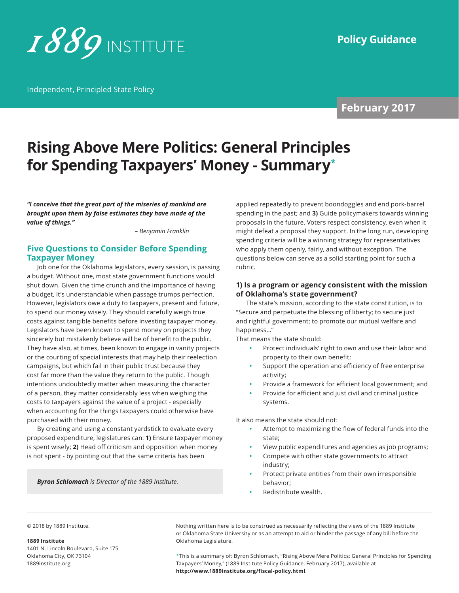

Independent, Principled State Policy

**February 2017**

# **Rising Above Mere Politics: General Principles for Spending Taxpayers' Money - Summary\***

*"I conceive that the great part of the miseries of mankind are brought upon them by false estimates they have made of the value of things."*

 *– Benjamin Franklin*

#### **Five Questions to Consider Before Spending Taxpayer Money**

Job one for the Oklahoma legislators, every session, is passing a budget. Without one, most state government functions would shut down. Given the time crunch and the importance of having a budget, it's understandable when passage trumps perfection. However, legislators owe a duty to taxpayers, present and future, to spend our money wisely. They should carefully weigh true costs against tangible benefits before investing taxpayer money. Legislators have been known to spend money on projects they sincerely but mistakenly believe will be of benefit to the public. They have also, at times, been known to engage in vanity projects or the courting of special interests that may help their reelection campaigns, but which fail in their public trust because they cost far more than the value they return to the public. Though intentions undoubtedly matter when measuring the character of a person, they matter considerably less when weighing the costs to taxpayers against the value of a project - especially when accounting for the things taxpayers could otherwise have purchased with their money.

By creating and using a constant yardstick to evaluate every proposed expenditure, legislatures can: **1)** Ensure taxpayer money is spent wisely; **2)** Head off criticism and opposition when money is not spent - by pointing out that the same criteria has been

*Byron Schlomach is Director of the 1889 Institute.*

applied repeatedly to prevent boondoggles and end pork-barrel spending in the past; and **3)** Guide policymakers towards winning proposals in the future. Voters respect consistency, even when it might defeat a proposal they support. In the long run, developing spending criteria will be a winning strategy for representatives who apply them openly, fairly, and without exception. The questions below can serve as a solid starting point for such a rubric.

#### **1) Is a program or agency consistent with the mission of Oklahoma's state government?**

The state's mission, according to the state constitution, is to "Secure and perpetuate the blessing of liberty; to secure just and rightful government; to promote our mutual welfare and happiness…"

That means the state should:

- **•** Protect individuals' right to own and use their labor and property to their own benefit;
- **•** Support the operation and efficiency of free enterprise activity;
- **•** Provide a framework for efficient local government; and
- **•** Provide for efficient and just civil and criminal justice systems.

It also means the state should not:

- **•** Attempt to maximizing the flow of federal funds into the state;
- **•** View public expenditures and agencies as job programs;
- **•** Compete with other state governments to attract industry;
- **•** Protect private entities from their own irresponsible behavior;
- **•** Redistribute wealth.

© 2018 by 1889 Institute.

#### **1889 Institute**

1401 N. Lincoln Boulevard, Suite 175 Oklahoma City, OK 73104 [1889institute.org](http://www.1889institute.org)

Nothing written here is to be construed as necessarily reflecting the views of the 1889 Institute or Oklahoma State University or as an attempt to aid or hinder the passage of any bill before the Oklahoma Legislature.

\*This is a summary of: Byron Schlomach, "Rising Above Mere Politics: General Principles for Spending Taxpayers' Money," (1889 Institute Policy Guidance, February 2017), available at **http://www.1889institute.org/fiscal-policy.html**.